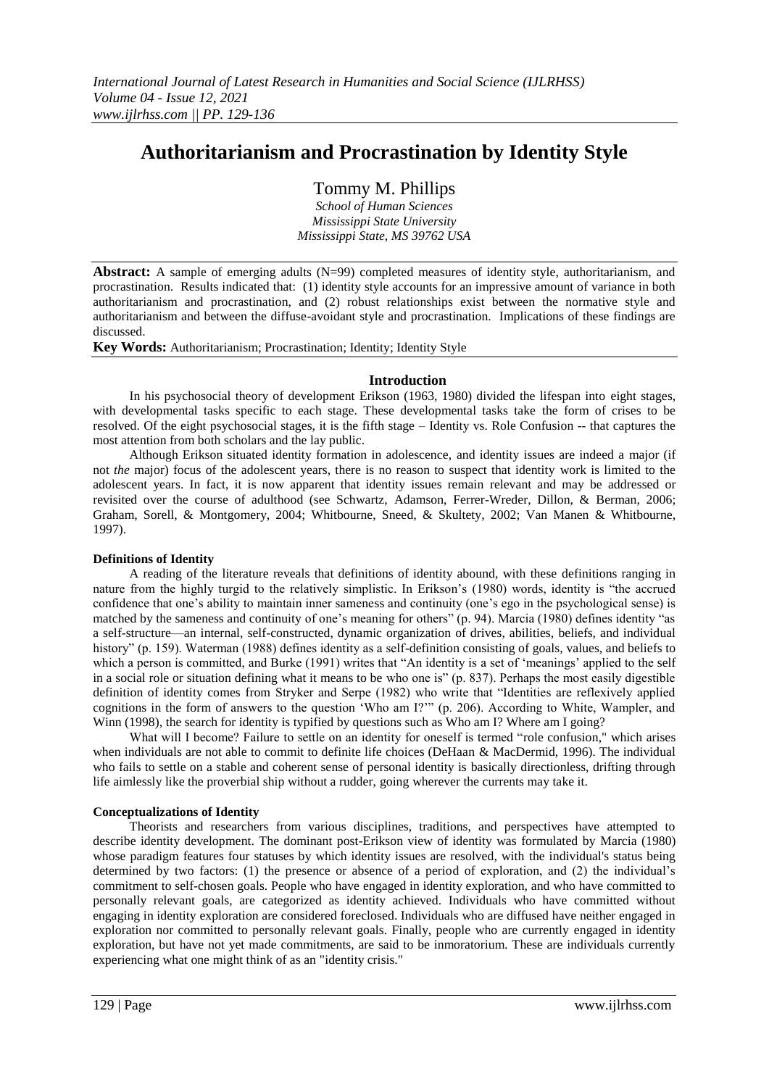# **Authoritarianism and Procrastination by Identity Style**

# Tommy M. Phillips

*School of Human Sciences Mississippi State University Mississippi State, MS 39762 USA*

Abstract: A sample of emerging adults (N=99) completed measures of identity style, authoritarianism, and procrastination. Results indicated that: (1) identity style accounts for an impressive amount of variance in both authoritarianism and procrastination, and (2) robust relationships exist between the normative style and authoritarianism and between the diffuse-avoidant style and procrastination. Implications of these findings are discussed.

**Key Words:** Authoritarianism; Procrastination; Identity; Identity Style

#### **Introduction**

In his psychosocial theory of development Erikson (1963, 1980) divided the lifespan into eight stages, with developmental tasks specific to each stage. These developmental tasks take the form of crises to be resolved. Of the eight psychosocial stages, it is the fifth stage – Identity vs. Role Confusion -- that captures the most attention from both scholars and the lay public.

Although Erikson situated identity formation in adolescence, and identity issues are indeed a major (if not *the* major) focus of the adolescent years, there is no reason to suspect that identity work is limited to the adolescent years. In fact, it is now apparent that identity issues remain relevant and may be addressed or revisited over the course of adulthood (see Schwartz, Adamson, Ferrer-Wreder, Dillon, & Berman, 2006; Graham, Sorell, & Montgomery, 2004; Whitbourne, Sneed, & Skultety, 2002; Van Manen & Whitbourne, 1997).

### **Definitions of Identity**

A reading of the literature reveals that definitions of identity abound, with these definitions ranging in nature from the highly turgid to the relatively simplistic. In Erikson's (1980) words, identity is "the accrued confidence that one's ability to maintain inner sameness and continuity (one's ego in the psychological sense) is matched by the sameness and continuity of one's meaning for others" (p. 94). Marcia (1980) defines identity "as a self-structure—an internal, self-constructed, dynamic organization of drives, abilities, beliefs, and individual history" (p. 159). Waterman (1988) defines identity as a self-definition consisting of goals, values, and beliefs to which a person is committed, and Burke (1991) writes that "An identity is a set of 'meanings' applied to the self in a social role or situation defining what it means to be who one is" (p. 837). Perhaps the most easily digestible definition of identity comes from Stryker and Serpe (1982) who write that "Identities are reflexively applied cognitions in the form of answers to the question 'Who am I?'" (p. 206). According to White, Wampler, and Winn (1998), the search for identity is typified by questions such as Who am I? Where am I going?

What will I become? Failure to settle on an identity for oneself is termed "role confusion," which arises when individuals are not able to commit to definite life choices (DeHaan & MacDermid, 1996). The individual who fails to settle on a stable and coherent sense of personal identity is basically directionless, drifting through life aimlessly like the proverbial ship without a rudder, going wherever the currents may take it.

### **Conceptualizations of Identity**

Theorists and researchers from various disciplines, traditions, and perspectives have attempted to describe identity development. The dominant post-Erikson view of identity was formulated by Marcia (1980) whose paradigm features four statuses by which identity issues are resolved, with the individual's status being determined by two factors: (1) the presence or absence of a period of exploration, and (2) the individual's commitment to self-chosen goals. People who have engaged in identity exploration, and who have committed to personally relevant goals, are categorized as identity achieved. Individuals who have committed without engaging in identity exploration are considered foreclosed. Individuals who are diffused have neither engaged in exploration nor committed to personally relevant goals. Finally, people who are currently engaged in identity exploration, but have not yet made commitments, are said to be inmoratorium. These are individuals currently experiencing what one might think of as an "identity crisis."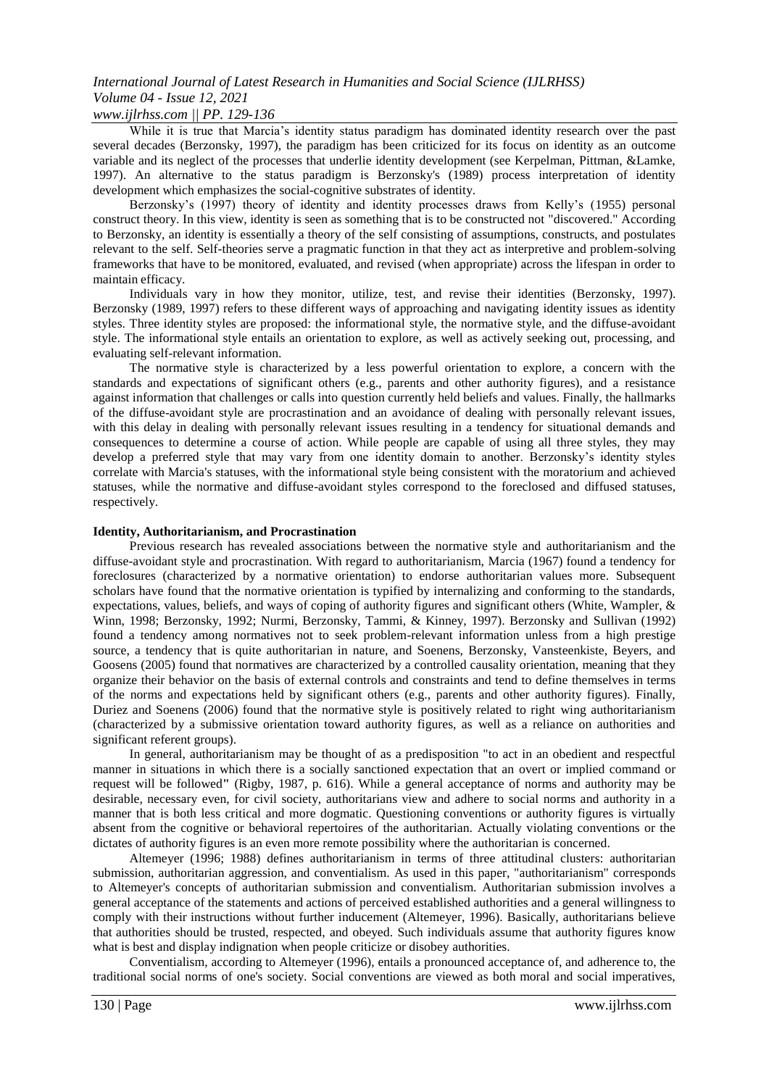#### *www.ijlrhss.com || PP. 129-136*

While it is true that Marcia's identity status paradigm has dominated identity research over the past several decades (Berzonsky, 1997), the paradigm has been criticized for its focus on identity as an outcome variable and its neglect of the processes that underlie identity development (see Kerpelman, Pittman, &Lamke, 1997). An alternative to the status paradigm is Berzonsky's (1989) process interpretation of identity development which emphasizes the social-cognitive substrates of identity.

Berzonsky's (1997) theory of identity and identity processes draws from Kelly's (1955) personal construct theory. In this view, identity is seen as something that is to be constructed not "discovered." According to Berzonsky, an identity is essentially a theory of the self consisting of assumptions, constructs, and postulates relevant to the self. Self-theories serve a pragmatic function in that they act as interpretive and problem-solving frameworks that have to be monitored, evaluated, and revised (when appropriate) across the lifespan in order to maintain efficacy.

Individuals vary in how they monitor, utilize, test, and revise their identities (Berzonsky, 1997). Berzonsky (1989, 1997) refers to these different ways of approaching and navigating identity issues as identity styles. Three identity styles are proposed: the informational style, the normative style, and the diffuse-avoidant style. The informational style entails an orientation to explore, as well as actively seeking out, processing, and evaluating self-relevant information.

The normative style is characterized by a less powerful orientation to explore, a concern with the standards and expectations of significant others (e.g., parents and other authority figures), and a resistance against information that challenges or calls into question currently held beliefs and values. Finally, the hallmarks of the diffuse-avoidant style are procrastination and an avoidance of dealing with personally relevant issues, with this delay in dealing with personally relevant issues resulting in a tendency for situational demands and consequences to determine a course of action. While people are capable of using all three styles, they may develop a preferred style that may vary from one identity domain to another. Berzonsky's identity styles correlate with Marcia's statuses, with the informational style being consistent with the moratorium and achieved statuses, while the normative and diffuse-avoidant styles correspond to the foreclosed and diffused statuses, respectively.

#### **Identity, Authoritarianism, and Procrastination**

Previous research has revealed associations between the normative style and authoritarianism and the diffuse-avoidant style and procrastination. With regard to authoritarianism, Marcia (1967) found a tendency for foreclosures (characterized by a normative orientation) to endorse authoritarian values more. Subsequent scholars have found that the normative orientation is typified by internalizing and conforming to the standards, expectations, values, beliefs, and ways of coping of authority figures and significant others (White, Wampler, & Winn, 1998; Berzonsky, 1992; Nurmi, Berzonsky, Tammi, & Kinney, 1997). Berzonsky and Sullivan (1992) found a tendency among normatives not to seek problem-relevant information unless from a high prestige source, a tendency that is quite authoritarian in nature, and Soenens, Berzonsky, Vansteenkiste, Beyers, and Goosens (2005) found that normatives are characterized by a controlled causality orientation, meaning that they organize their behavior on the basis of external controls and constraints and tend to define themselves in terms of the norms and expectations held by significant others (e.g., parents and other authority figures). Finally, Duriez and Soenens (2006) found that the normative style is positively related to right wing authoritarianism (characterized by a submissive orientation toward authority figures, as well as a reliance on authorities and significant referent groups).

In general, authoritarianism may be thought of as a predisposition "to act in an obedient and respectful manner in situations in which there is a socially sanctioned expectation that an overt or implied command or request will be followed**"** (Rigby, 1987, p. 616). While a general acceptance of norms and authority may be desirable, necessary even, for civil society, authoritarians view and adhere to social norms and authority in a manner that is both less critical and more dogmatic. Questioning conventions or authority figures is virtually absent from the cognitive or behavioral repertoires of the authoritarian. Actually violating conventions or the dictates of authority figures is an even more remote possibility where the authoritarian is concerned.

Altemeyer (1996; 1988) defines authoritarianism in terms of three attitudinal clusters: authoritarian submission, authoritarian aggression, and conventialism. As used in this paper, "authoritarianism" corresponds to Altemeyer's concepts of authoritarian submission and conventialism. Authoritarian submission involves a general acceptance of the statements and actions of perceived established authorities and a general willingness to comply with their instructions without further inducement (Altemeyer, 1996). Basically, authoritarians believe that authorities should be trusted, respected, and obeyed. Such individuals assume that authority figures know what is best and display indignation when people criticize or disobey authorities.

Conventialism, according to Altemeyer (1996), entails a pronounced acceptance of, and adherence to, the traditional social norms of one's society. Social conventions are viewed as both moral and social imperatives,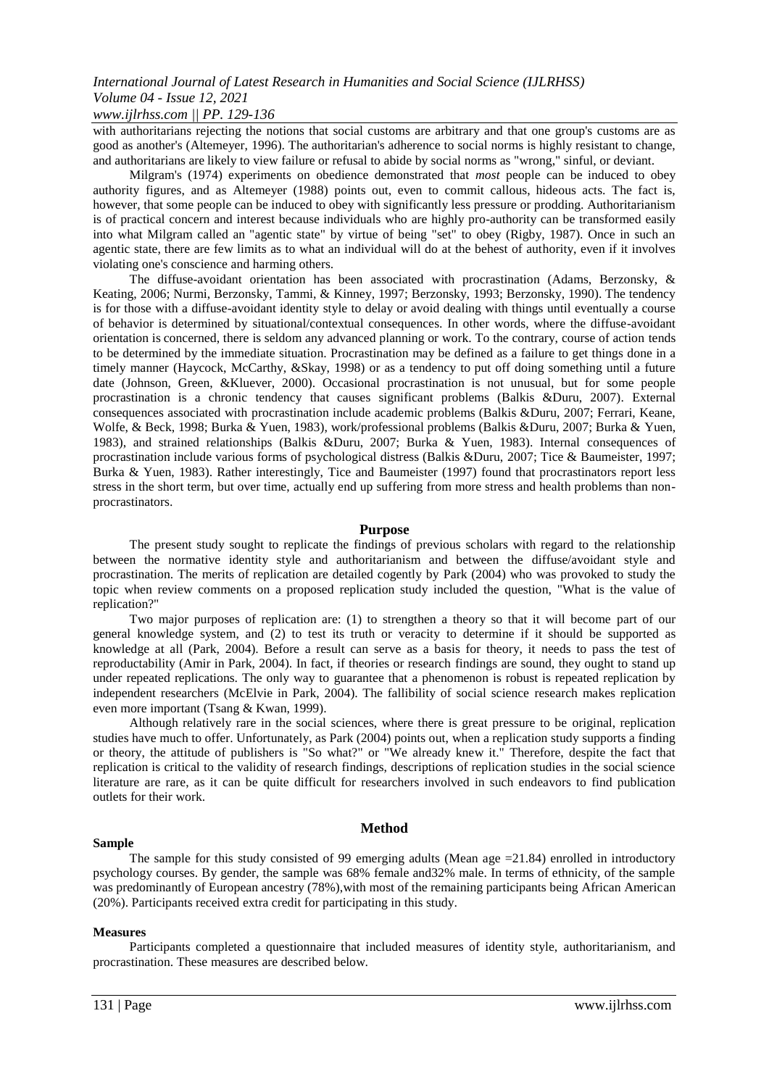### *www.ijlrhss.com || PP. 129-136*

with authoritarians rejecting the notions that social customs are arbitrary and that one group's customs are as good as another's (Altemeyer, 1996). The authoritarian's adherence to social norms is highly resistant to change, and authoritarians are likely to view failure or refusal to abide by social norms as "wrong," sinful, or deviant.

Milgram's (1974) experiments on obedience demonstrated that *most* people can be induced to obey authority figures, and as Altemeyer (1988) points out, even to commit callous, hideous acts. The fact is, however, that some people can be induced to obey with significantly less pressure or prodding. Authoritarianism is of practical concern and interest because individuals who are highly pro-authority can be transformed easily into what Milgram called an "agentic state" by virtue of being "set" to obey (Rigby, 1987). Once in such an agentic state, there are few limits as to what an individual will do at the behest of authority, even if it involves violating one's conscience and harming others.

The diffuse-avoidant orientation has been associated with procrastination (Adams, Berzonsky, & Keating, 2006; Nurmi, Berzonsky, Tammi, & Kinney, 1997; Berzonsky, 1993; Berzonsky, 1990). The tendency is for those with a diffuse-avoidant identity style to delay or avoid dealing with things until eventually a course of behavior is determined by situational/contextual consequences. In other words, where the diffuse-avoidant orientation is concerned, there is seldom any advanced planning or work. To the contrary, course of action tends to be determined by the immediate situation. Procrastination may be defined as a failure to get things done in a timely manner (Haycock, McCarthy, &Skay, 1998) or as a tendency to put off doing something until a future date (Johnson, Green, &Kluever, 2000). Occasional procrastination is not unusual, but for some people procrastination is a chronic tendency that causes significant problems (Balkis &Duru, 2007). External consequences associated with procrastination include academic problems (Balkis &Duru, 2007; Ferrari, Keane, Wolfe, & Beck, 1998; Burka & Yuen, 1983), work/professional problems (Balkis &Duru, 2007; Burka & Yuen, 1983), and strained relationships (Balkis &Duru, 2007; Burka & Yuen, 1983). Internal consequences of procrastination include various forms of psychological distress (Balkis &Duru, 2007; Tice & Baumeister, 1997; Burka & Yuen, 1983). Rather interestingly, Tice and Baumeister (1997) found that procrastinators report less stress in the short term, but over time, actually end up suffering from more stress and health problems than nonprocrastinators.

#### **Purpose**

The present study sought to replicate the findings of previous scholars with regard to the relationship between the normative identity style and authoritarianism and between the diffuse/avoidant style and procrastination. The merits of replication are detailed cogently by Park (2004) who was provoked to study the topic when review comments on a proposed replication study included the question, "What is the value of replication?"

Two major purposes of replication are: (1) to strengthen a theory so that it will become part of our general knowledge system, and (2) to test its truth or veracity to determine if it should be supported as knowledge at all (Park, 2004). Before a result can serve as a basis for theory, it needs to pass the test of reproductability (Amir in Park, 2004). In fact, if theories or research findings are sound, they ought to stand up under repeated replications. The only way to guarantee that a phenomenon is robust is repeated replication by independent researchers (McElvie in Park, 2004). The fallibility of social science research makes replication even more important (Tsang & Kwan, 1999).

Although relatively rare in the social sciences, where there is great pressure to be original, replication studies have much to offer. Unfortunately, as Park (2004) points out, when a replication study supports a finding or theory, the attitude of publishers is "So what?" or "We already knew it." Therefore, despite the fact that replication is critical to the validity of research findings, descriptions of replication studies in the social science literature are rare, as it can be quite difficult for researchers involved in such endeavors to find publication outlets for their work.

#### **Method**

#### **Sample**

The sample for this study consisted of 99 emerging adults (Mean age  $=21.84$ ) enrolled in introductory psychology courses. By gender, the sample was 68% female and32% male. In terms of ethnicity, of the sample was predominantly of European ancestry (78%), with most of the remaining participants being African American (20%). Participants received extra credit for participating in this study.

#### **Measures**

Participants completed a questionnaire that included measures of identity style, authoritarianism, and procrastination. These measures are described below.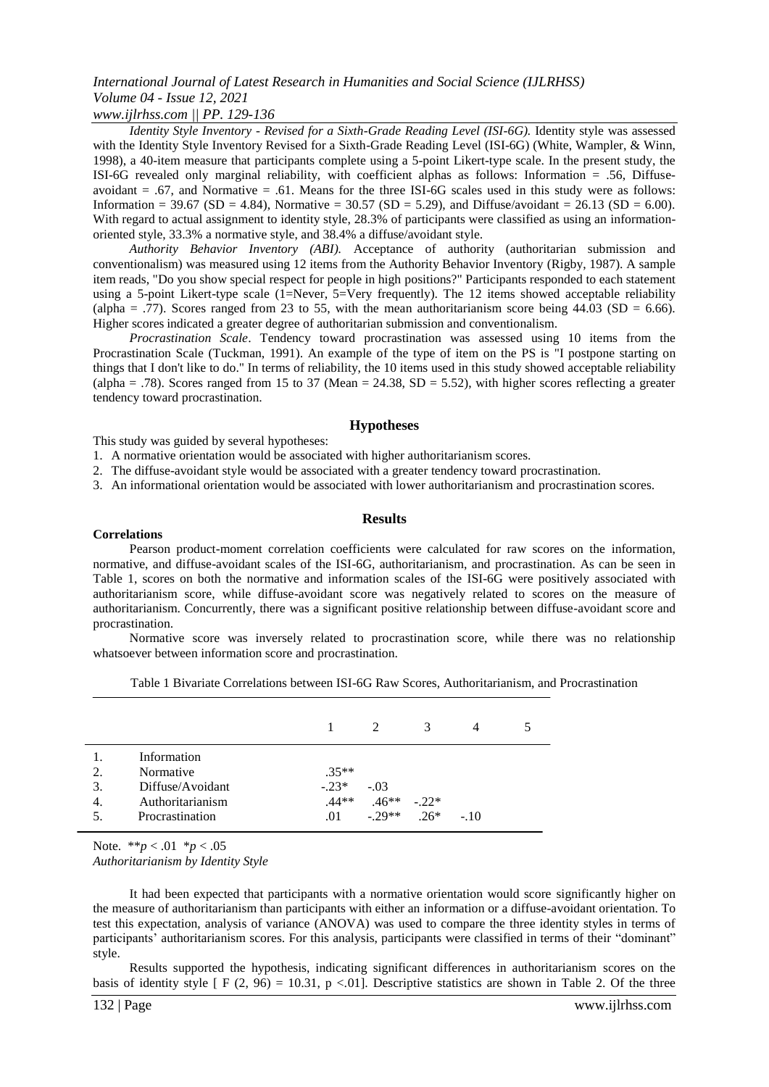### *www.ijlrhss.com || PP. 129-136*

*Identity Style Inventory - Revised for a Sixth-Grade Reading Level (ISI-6G).* Identity style was assessed with the Identity Style Inventory Revised for a Sixth-Grade Reading Level (ISI-6G) (White, Wampler, & Winn, 1998), a 40-item measure that participants complete using a 5-point Likert-type scale. In the present study, the ISI-6G revealed only marginal reliability, with coefficient alphas as follows: Information = .56, Diffuseavoidant  $= .67$ , and Normative  $= .61$ . Means for the three ISI-6G scales used in this study were as follows: Information = 39.67 (SD = 4.84), Normative = 30.57 (SD = 5.29), and Diffuse/avoidant = 26.13 (SD = 6.00). With regard to actual assignment to identity style, 28.3% of participants were classified as using an informationoriented style, 33.3% a normative style, and 38.4% a diffuse/avoidant style.

*Authority Behavior Inventory (ABI).* Acceptance of authority (authoritarian submission and conventionalism) was measured using 12 items from the Authority Behavior Inventory (Rigby, 1987). A sample item reads, "Do you show special respect for people in high positions?" Participants responded to each statement using a 5-point Likert-type scale (1=Never, 5=Very frequently). The 12 items showed acceptable reliability (alpha = .77). Scores ranged from 23 to 55, with the mean authoritarianism score being  $44.03$  (SD = 6.66). Higher scores indicated a greater degree of authoritarian submission and conventionalism.

*Procrastination Scale*. Tendency toward procrastination was assessed using 10 items from the Procrastination Scale (Tuckman, 1991). An example of the type of item on the PS is "I postpone starting on things that I don't like to do." In terms of reliability, the 10 items used in this study showed acceptable reliability (alpha = .78). Scores ranged from 15 to 37 (Mean = 24.38, SD = 5.52), with higher scores reflecting a greater tendency toward procrastination.

#### **Hypotheses**

This study was guided by several hypotheses:

1. A normative orientation would be associated with higher authoritarianism scores.

2. The diffuse-avoidant style would be associated with a greater tendency toward procrastination.

3. An informational orientation would be associated with lower authoritarianism and procrastination scores.

#### **Results**

#### **Correlations**

Pearson product-moment correlation coefficients were calculated for raw scores on the information, normative, and diffuse-avoidant scales of the ISI-6G, authoritarianism, and procrastination. As can be seen in Table 1, scores on both the normative and information scales of the ISI-6G were positively associated with authoritarianism score, while diffuse-avoidant score was negatively related to scores on the measure of authoritarianism. Concurrently, there was a significant positive relationship between diffuse-avoidant score and procrastination.

Normative score was inversely related to procrastination score, while there was no relationship whatsoever between information score and procrastination.

| Table 1 Bivariate Correlations between ISI-6G Raw Scores, Authoritarianism, and Procrastination |
|-------------------------------------------------------------------------------------------------|
|-------------------------------------------------------------------------------------------------|

|     |                  |         | $\overline{2}$ | 3      | 4      |  |
|-----|------------------|---------|----------------|--------|--------|--|
|     | Information      |         |                |        |        |  |
| 2.  | Normative        | $.35**$ |                |        |        |  |
| 3.  | Diffuse/Avoidant | $-.23*$ | $-.03$         |        |        |  |
| 4.  | Authoritarianism | $.44**$ | $.46**$        | $-22*$ |        |  |
| .5. | Procrastination  | .01     | $-29**$        | $26*$  | $-.10$ |  |

Note. \*\**p* < .01 \**p* < .05 *Authoritarianism by Identity Style*

It had been expected that participants with a normative orientation would score significantly higher on the measure of authoritarianism than participants with either an information or a diffuse-avoidant orientation. To test this expectation, analysis of variance (ANOVA) was used to compare the three identity styles in terms of participants' authoritarianism scores. For this analysis, participants were classified in terms of their "dominant" style.

Results supported the hypothesis, indicating significant differences in authoritarianism scores on the basis of identity style  $\lceil F (2, 96) = 10.31$ , p <.01]. Descriptive statistics are shown in Table 2. Of the three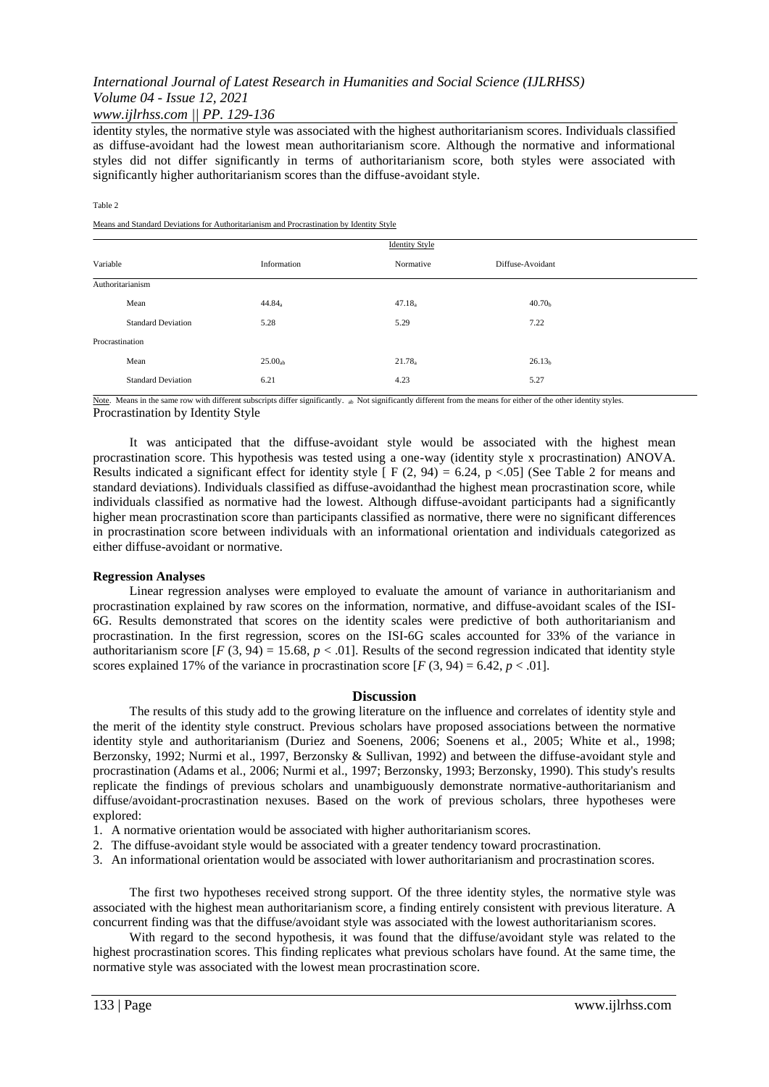### *www.ijlrhss.com || PP. 129-136*

identity styles, the normative style was associated with the highest authoritarianism scores. Individuals classified as diffuse-avoidant had the lowest mean authoritarianism score. Although the normative and informational styles did not differ significantly in terms of authoritarianism score, both styles were associated with significantly higher authoritarianism scores than the diffuse-avoidant style.

#### Table 2

Means and Standard Deviations for Authoritarianism and Procrastination by Identity Style

|                  |                           | <b>Identity Style</b> |                    |                    |
|------------------|---------------------------|-----------------------|--------------------|--------------------|
| Variable         |                           | Information           | Normative          | Diffuse-Avoidant   |
| Authoritarianism |                           |                       |                    |                    |
|                  | Mean                      | $44.84_a$             | 47.18 <sub>a</sub> | 40.70 <sub>b</sub> |
|                  | <b>Standard Deviation</b> | 5.28                  | 5.29               | 7.22               |
| Procrastination  |                           |                       |                    |                    |
|                  | Mean                      | $25.00_{ab}$          | 21.78 <sub>a</sub> | 26.13 <sub>b</sub> |
|                  | <b>Standard Deviation</b> | 6.21                  | 4.23               | 5.27               |

Procrastination by Identity Style Note. Means in the same row with different subscripts differ significantly. ab Not significantly different from the means for either of the other identity styles.

It was anticipated that the diffuse-avoidant style would be associated with the highest mean procrastination score. This hypothesis was tested using a one-way (identity style x procrastination) ANOVA. Results indicated a significant effect for identity style  $[F (2, 94) = 6.24, p < .05]$  (See Table 2 for means and standard deviations). Individuals classified as diffuse-avoidanthad the highest mean procrastination score, while individuals classified as normative had the lowest. Although diffuse-avoidant participants had a significantly higher mean procrastination score than participants classified as normative, there were no significant differences in procrastination score between individuals with an informational orientation and individuals categorized as either diffuse-avoidant or normative.

#### **Regression Analyses**

Linear regression analyses were employed to evaluate the amount of variance in authoritarianism and procrastination explained by raw scores on the information, normative, and diffuse-avoidant scales of the ISI-6G. Results demonstrated that scores on the identity scales were predictive of both authoritarianism and procrastination. In the first regression, scores on the ISI-6G scales accounted for 33% of the variance in authoritarianism score  $[F(3, 94) = 15.68, p < .01]$ . Results of the second regression indicated that identity style scores explained 17% of the variance in procrastination score  $[F(3, 94) = 6.42, p < .01]$ .

#### **Discussion**

The results of this study add to the growing literature on the influence and correlates of identity style and the merit of the identity style construct. Previous scholars have proposed associations between the normative identity style and authoritarianism (Duriez and Soenens, 2006; Soenens et al., 2005; White et al., 1998; Berzonsky, 1992; Nurmi et al., 1997, Berzonsky & Sullivan, 1992) and between the diffuse-avoidant style and procrastination (Adams et al., 2006; Nurmi et al., 1997; Berzonsky, 1993; Berzonsky, 1990). This study's results replicate the findings of previous scholars and unambiguously demonstrate normative-authoritarianism and diffuse/avoidant-procrastination nexuses. Based on the work of previous scholars, three hypotheses were explored:

- 1. A normative orientation would be associated with higher authoritarianism scores.
- 2. The diffuse-avoidant style would be associated with a greater tendency toward procrastination.
- 3. An informational orientation would be associated with lower authoritarianism and procrastination scores.

The first two hypotheses received strong support. Of the three identity styles, the normative style was associated with the highest mean authoritarianism score, a finding entirely consistent with previous literature. A concurrent finding was that the diffuse/avoidant style was associated with the lowest authoritarianism scores.

With regard to the second hypothesis, it was found that the diffuse/avoidant style was related to the highest procrastination scores. This finding replicates what previous scholars have found. At the same time, the normative style was associated with the lowest mean procrastination score.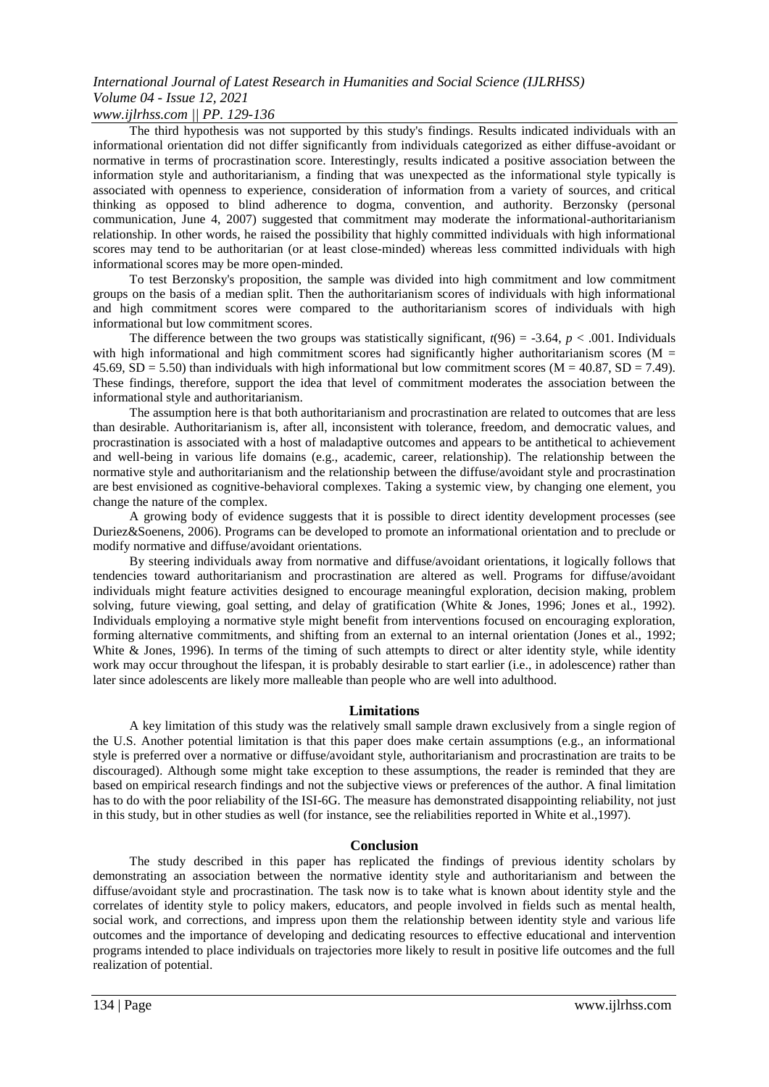### *www.ijlrhss.com || PP. 129-136*

The third hypothesis was not supported by this study's findings. Results indicated individuals with an informational orientation did not differ significantly from individuals categorized as either diffuse-avoidant or normative in terms of procrastination score. Interestingly, results indicated a positive association between the information style and authoritarianism, a finding that was unexpected as the informational style typically is associated with openness to experience, consideration of information from a variety of sources, and critical thinking as opposed to blind adherence to dogma, convention, and authority. Berzonsky (personal communication, June 4, 2007) suggested that commitment may moderate the informational-authoritarianism relationship. In other words, he raised the possibility that highly committed individuals with high informational scores may tend to be authoritarian (or at least close-minded) whereas less committed individuals with high informational scores may be more open-minded.

To test Berzonsky's proposition, the sample was divided into high commitment and low commitment groups on the basis of a median split. Then the authoritarianism scores of individuals with high informational and high commitment scores were compared to the authoritarianism scores of individuals with high informational but low commitment scores.

The difference between the two groups was statistically significant,  $t(96) = -3.64$ ,  $p < .001$ . Individuals with high informational and high commitment scores had significantly higher authoritarianism scores ( $M =$  $45.69$ ,  $SD = 5.50$ ) than individuals with high informational but low commitment scores (M = 40.87, SD = 7.49). These findings, therefore, support the idea that level of commitment moderates the association between the informational style and authoritarianism.

The assumption here is that both authoritarianism and procrastination are related to outcomes that are less than desirable. Authoritarianism is, after all, inconsistent with tolerance, freedom, and democratic values, and procrastination is associated with a host of maladaptive outcomes and appears to be antithetical to achievement and well-being in various life domains (e.g., academic, career, relationship). The relationship between the normative style and authoritarianism and the relationship between the diffuse/avoidant style and procrastination are best envisioned as cognitive-behavioral complexes. Taking a systemic view, by changing one element, you change the nature of the complex.

A growing body of evidence suggests that it is possible to direct identity development processes (see Duriez&Soenens, 2006). Programs can be developed to promote an informational orientation and to preclude or modify normative and diffuse/avoidant orientations.

By steering individuals away from normative and diffuse/avoidant orientations, it logically follows that tendencies toward authoritarianism and procrastination are altered as well. Programs for diffuse/avoidant individuals might feature activities designed to encourage meaningful exploration, decision making, problem solving, future viewing, goal setting, and delay of gratification (White & Jones, 1996; Jones et al., 1992). Individuals employing a normative style might benefit from interventions focused on encouraging exploration, forming alternative commitments, and shifting from an external to an internal orientation (Jones et al., 1992; White & Jones, 1996). In terms of the timing of such attempts to direct or alter identity style, while identity work may occur throughout the lifespan, it is probably desirable to start earlier (i.e., in adolescence) rather than later since adolescents are likely more malleable than people who are well into adulthood.

#### **Limitations**

A key limitation of this study was the relatively small sample drawn exclusively from a single region of the U.S. Another potential limitation is that this paper does make certain assumptions (e.g., an informational style is preferred over a normative or diffuse/avoidant style, authoritarianism and procrastination are traits to be discouraged). Although some might take exception to these assumptions, the reader is reminded that they are based on empirical research findings and not the subjective views or preferences of the author. A final limitation has to do with the poor reliability of the ISI-6G. The measure has demonstrated disappointing reliability, not just in this study, but in other studies as well (for instance, see the reliabilities reported in White et al.,1997).

#### **Conclusion**

The study described in this paper has replicated the findings of previous identity scholars by demonstrating an association between the normative identity style and authoritarianism and between the diffuse/avoidant style and procrastination. The task now is to take what is known about identity style and the correlates of identity style to policy makers, educators, and people involved in fields such as mental health, social work, and corrections, and impress upon them the relationship between identity style and various life outcomes and the importance of developing and dedicating resources to effective educational and intervention programs intended to place individuals on trajectories more likely to result in positive life outcomes and the full realization of potential.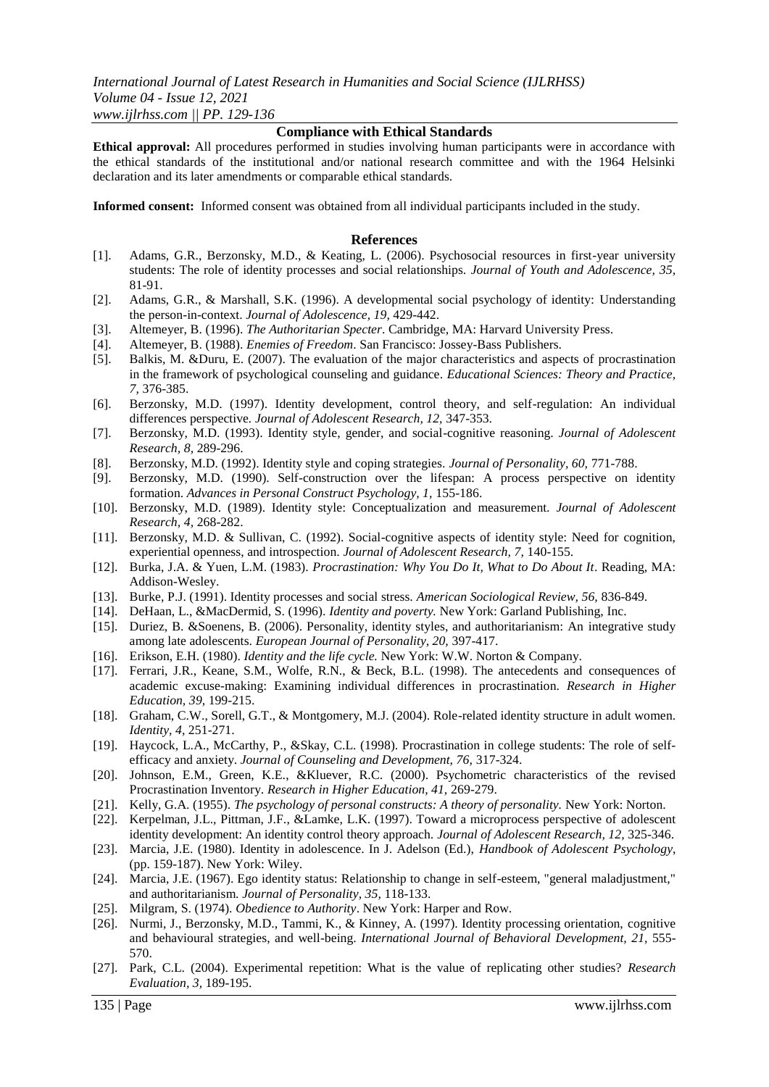#### **Compliance with Ethical Standards**

**Ethical approval:** All procedures performed in studies involving human participants were in accordance with the ethical standards of the institutional and/or national research committee and with the 1964 Helsinki declaration and its later amendments or comparable ethical standards.

**Informed consent:** Informed consent was obtained from all individual participants included in the study.

#### **References**

- [1]. Adams, G.R., Berzonsky, M.D., & Keating, L. (2006). Psychosocial resources in first-year university students: The role of identity processes and social relationships. *Journal of Youth and Adolescence, 35,*  81-91.
- [2]. Adams, G.R., & Marshall, S.K. (1996). A developmental social psychology of identity: Understanding the person-in-context. *Journal of Adolescence, 19,* 429-442.
- [3]. Altemeyer, B. (1996). *The Authoritarian Specter*. Cambridge, MA: Harvard University Press.
- [4]. Altemeyer, B. (1988). *Enemies of Freedom*. San Francisco: Jossey-Bass Publishers.
- [5]. Balkis, M. &Duru, E. (2007). The evaluation of the major characteristics and aspects of procrastination in the framework of psychological counseling and guidance. *Educational Sciences: Theory and Practice, 7,* 376-385.
- [6]. Berzonsky, M.D. (1997). Identity development, control theory, and self-regulation: An individual differences perspective*. Journal of Adolescent Research, 12,* 347-353.
- [7]. Berzonsky, M.D. (1993). Identity style, gender, and social-cognitive reasoning. *Journal of Adolescent Research, 8,* 289-296.
- [8]. Berzonsky, M.D. (1992). Identity style and coping strategies. *Journal of Personality, 60,* 771-788.
- [9]. Berzonsky, M.D. (1990). Self-construction over the lifespan: A process perspective on identity formation. *Advances in Personal Construct Psychology, 1,* 155-186.
- [10]. Berzonsky, M.D. (1989). Identity style: Conceptualization and measurement. *Journal of Adolescent Research, 4,* 268-282.
- [11]. Berzonsky, M.D. & Sullivan, C. (1992). Social-cognitive aspects of identity style: Need for cognition, experiential openness, and introspection. *Journal of Adolescent Research, 7,* 140-155.
- [12]. Burka, J.A. & Yuen, L.M. (1983). *Procrastination: Why You Do It, What to Do About It*. Reading, MA: Addison-Wesley.
- [13]. Burke, P.J. (1991). Identity processes and social stress. *American Sociological Review, 56,* 836-849.
- [14]. DeHaan, L., &MacDermid, S. (1996). *Identity and poverty.* New York: Garland Publishing, Inc.
- [15]. Duriez, B. &Soenens, B. (2006). Personality, identity styles, and authoritarianism: An integrative study among late adolescents. *European Journal of Personality, 20,* 397-417.
- [16]. Erikson, E.H. (1980). *Identity and the life cycle.* New York: W.W. Norton & Company.
- [17]. Ferrari, J.R., Keane, S.M., Wolfe, R.N., & Beck, B.L. (1998). The antecedents and consequences of academic excuse-making: Examining individual differences in procrastination. *Research in Higher Education, 39,* 199-215.
- [18]. Graham, C.W., Sorell, G.T., & Montgomery, M.J. (2004). Role-related identity structure in adult women. *Identity, 4,* 251-271.
- [19]. Haycock, L.A., McCarthy, P., &Skay, C.L. (1998). Procrastination in college students: The role of selfefficacy and anxiety. *Journal of Counseling and Development, 76,* 317-324.
- [20]. Johnson, E.M., Green, K.E., &Kluever, R.C. (2000). Psychometric characteristics of the revised Procrastination Inventory. *Research in Higher Education, 41,* 269-279.
- [21]. Kelly, G.A. (1955). *The psychology of personal constructs: A theory of personality*. New York: Norton.
- [22]. Kerpelman, J.L., Pittman, J.F., &Lamke, L.K. (1997). Toward a microprocess perspective of adolescent identity development: An identity control theory approach. *Journal of Adolescent Research, 12,* 325-346.
- [23]. Marcia, J.E. (1980). Identity in adolescence. In J. Adelson (Ed.), *Handbook of Adolescent Psychology*, (pp. 159-187). New York: Wiley.
- [24]. Marcia, J.E. (1967). Ego identity status: Relationship to change in self-esteem, "general maladjustment," and authoritarianism. *Journal of Personality, 35,* 118-133.
- [25]. Milgram, S. (1974). *Obedience to Authority*. New York: Harper and Row.
- [26]. Nurmi, J., Berzonsky, M.D., Tammi, K., & Kinney, A. (1997). Identity processing orientation, cognitive and behavioural strategies, and well-being. *International Journal of Behavioral Development, 21,* 555- 570.
- [27]. Park, C.L. (2004). Experimental repetition: What is the value of replicating other studies? *Research Evaluation, 3,* 189-195.